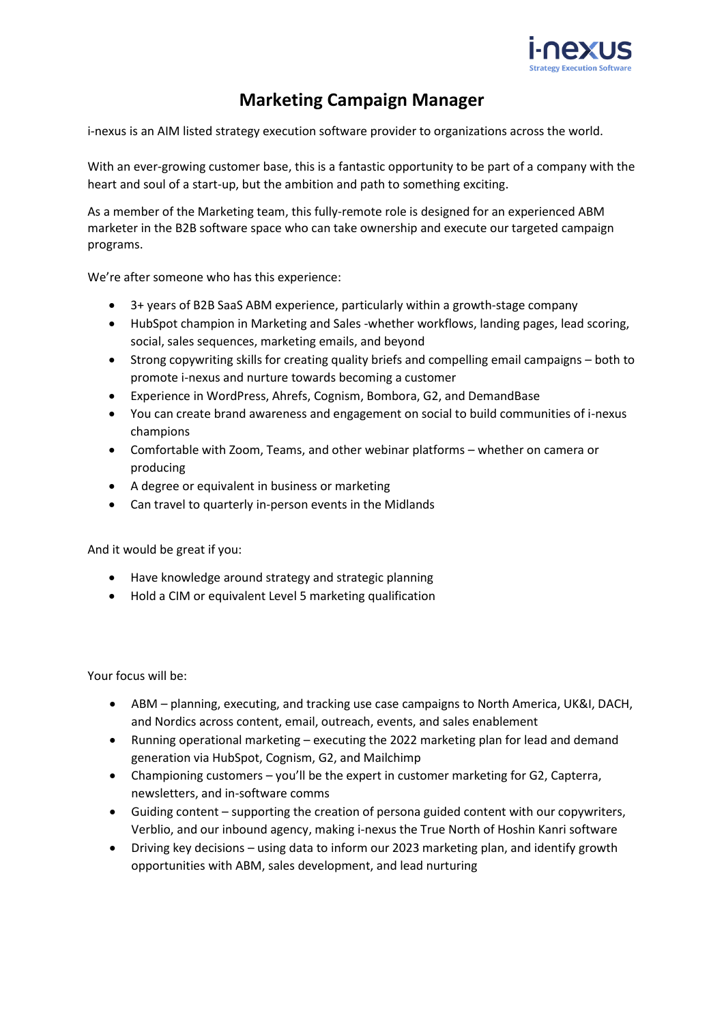

## **Marketing Campaign Manager**

[i-nexus](http://www.i-nexus.com/) is an AIM listed strategy execution software provider to organizations across the world.

With an ever-growing customer base, this is a fantastic opportunity to be part of a company with the heart and soul of a start-up, but the ambition and path to something exciting.

As a member of the Marketing team, this fully-remote role is designed for an experienced ABM marketer in the B2B software space who can take ownership and execute our targeted campaign programs.

We're after someone who has this experience:

- 3+ years of B2B SaaS ABM experience, particularly within a growth-stage company
- HubSpot champion in Marketing and Sales -whether workflows, landing pages, lead scoring, social, sales sequences, marketing emails, and beyond
- Strong copywriting skills for creating quality briefs and compelling email campaigns both to promote i-nexus and nurture towards becoming a customer
- Experience in WordPress, Ahrefs, Cognism, Bombora, G2, and DemandBase
- You can create brand awareness and engagement on social to build communities of i-nexus champions
- Comfortable with Zoom, Teams, and other webinar platforms whether on camera or producing
- A degree or equivalent in business or marketing
- Can travel to quarterly in-person events in the Midlands

And it would be great if you:

- Have knowledge around strategy and strategic planning
- Hold a CIM or equivalent Level 5 marketing qualification

Your focus will be:

- ABM planning, executing, and tracking use case campaigns to North America, UK&I, DACH, and Nordics across content, email, outreach, events, and sales enablement
- Running operational marketing executing the 2022 marketing plan for lead and demand generation via HubSpot, Cognism, G2, and Mailchimp
- Championing customers you'll be the expert in customer marketing for G2, Capterra, newsletters, and in-software comms
- Guiding content supporting the creation of persona guided content with our copywriters, Verblio, and our inbound agency, making i-nexus the True North of Hoshin Kanri software
- Driving key decisions using data to inform our 2023 marketing plan, and identify growth opportunities with ABM, sales development, and lead nurturing